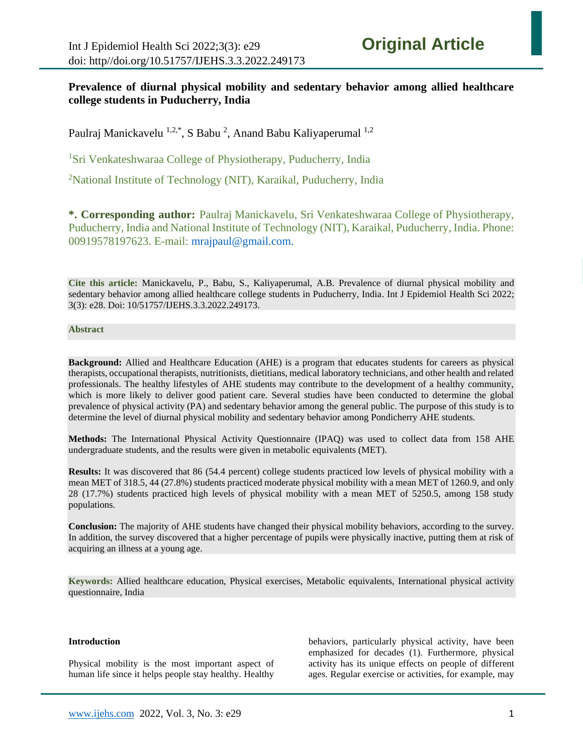# **Prevalence of diurnal physical mobility and sedentary behavior among allied healthcare college students in Puducherry, India**

Paulraj Manickavelu <sup>1,2,\*</sup>, S Babu <sup>2</sup>, Anand Babu Kaliyaperumal <sup>1,2</sup>

<sup>1</sup>Sri Venkateshwaraa College of Physiotherapy, Puducherry, India

<sup>2</sup>National Institute of Technology (NIT), Karaikal, Puducherry, India

**\*. Corresponding author:** Paulraj Manickavelu, Sri Venkateshwaraa College of Physiotherapy, Puducherry, India and National Institute of Technology (NIT), Karaikal, Puducherry, India. Phone: 00919578197623. E-mail: [mrajpaul@gmail.com.](mailto:mrajpaul@gmail.com)

**Cite this article:** Manickavelu, P., Babu, S., Kaliyaperumal, A.B. Prevalence of diurnal physical mobility and sedentary behavior among allied healthcare college students in Puducherry, India. Int J Epidemiol Health Sci 2022; 3(3): e28. Doi: 10/51757/IJEHS.3.3.2022.249173.

#### **Abstract**

**Background:** Allied and Healthcare Education (AHE) is a program that educates students for careers as physical therapists, occupational therapists, nutritionists, dietitians, medical laboratory technicians, and other health and related professionals. The healthy lifestyles of AHE students may contribute to the development of a healthy community, which is more likely to deliver good patient care. Several studies have been conducted to determine the global prevalence of physical activity (PA) and sedentary behavior among the general public. The purpose of this study is to determine the level of diurnal physical mobility and sedentary behavior among Pondicherry AHE students.

**Methods:** The International Physical Activity Questionnaire (IPAQ) was used to collect data from 158 AHE undergraduate students, and the results were given in metabolic equivalents (MET).

**Results:** It was discovered that 86 (54.4 percent) college students practiced low levels of physical mobility with a mean MET of 318.5, 44 (27.8%) students practiced moderate physical mobility with a mean MET of 1260.9, and only 28 (17.7%) students practiced high levels of physical mobility with a mean MET of 5250.5, among 158 study populations.

**Conclusion:** The majority of AHE students have changed their physical mobility behaviors, according to the survey. In addition, the survey discovered that a higher percentage of pupils were physically inactive, putting them at risk of acquiring an illness at a young age.

**Keywords:** Allied healthcare education, Physical exercises, Metabolic equivalents, International physical activity questionnaire, India

#### **Introduction**

Physical mobility is the most important aspect of human life since it helps people stay healthy. Healthy behaviors, particularly physical activity, have been emphasized for decades (1). Furthermore, physical activity has its unique effects on people of different ages. Regular exercise or activities, for example, may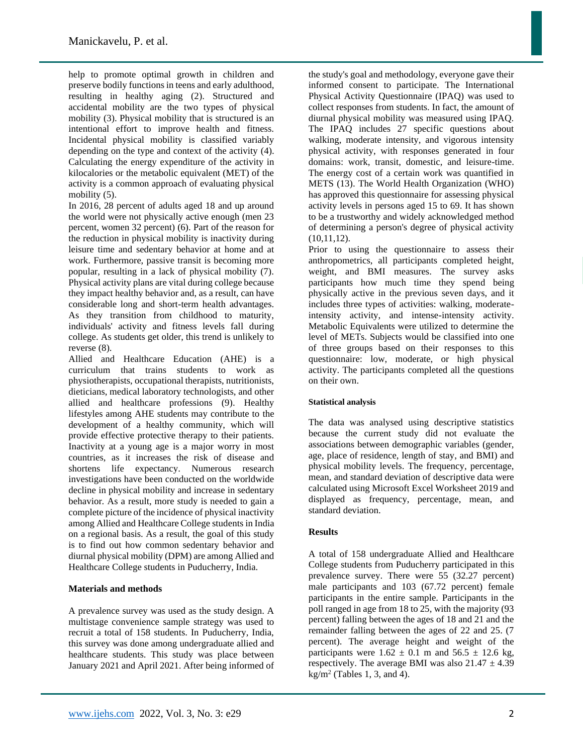help to promote optimal growth in children and preserve bodily functions in teens and early adulthood, resulting in healthy aging (2). Structured and accidental mobility are the two types of physical mobility (3). Physical mobility that is structured is an intentional effort to improve health and fitness. Incidental physical mobility is classified variably depending on the type and context of the activity (4). Calculating the energy expenditure of the activity in kilocalories or the metabolic equivalent (MET) of the activity is a common approach of evaluating physical mobility  $(5)$ .

In 2016, 28 percent of adults aged 18 and up around the world were not physically active enough (men 23 percent, women 32 percent) (6). Part of the reason for the reduction in physical mobility is inactivity during leisure time and sedentary behavior at home and at work. Furthermore, passive transit is becoming more popular, resulting in a lack of physical mobility (7). Physical activity plans are vital during college because they impact healthy behavior and, as a result, can have considerable long and short-term health advantages. As they transition from childhood to maturity, individuals' activity and fitness levels fall during college. As students get older, this trend is unlikely to reverse (8).

Allied and Healthcare Education (AHE) is a curriculum that trains students to work as physiotherapists, occupational therapists, nutritionists, dieticians, medical laboratory technologists, and other allied and healthcare professions (9). Healthy lifestyles among AHE students may contribute to the development of a healthy community, which will provide effective protective therapy to their patients. Inactivity at a young age is a major worry in most countries, as it increases the risk of disease and shortens life expectancy. Numerous research investigations have been conducted on the worldwide decline in physical mobility and increase in sedentary behavior. As a result, more study is needed to gain a complete picture of the incidence of physical inactivity among Allied and Healthcare College students in India on a regional basis. As a result, the goal of this study is to find out how common sedentary behavior and diurnal physical mobility (DPM) are among Allied and Healthcare College students in Puducherry, India.

## **Materials and methods**

A prevalence survey was used as the study design. A multistage convenience sample strategy was used to recruit a total of 158 students. In Puducherry, India, this survey was done among undergraduate allied and healthcare students. This study was place between January 2021 and April 2021. After being informed of

the study's goal and methodology, everyone gave their informed consent to participate. The International Physical Activity Questionnaire (IPAQ) was used to collect responses from students. In fact, the amount of diurnal physical mobility was measured using IPAQ. The IPAQ includes 27 specific questions about walking, moderate intensity, and vigorous intensity physical activity, with responses generated in four domains: work, transit, domestic, and leisure-time. The energy cost of a certain work was quantified in METS (13). The World Health Organization (WHO) has approved this questionnaire for assessing physical activity levels in persons aged 15 to 69. It has shown to be a trustworthy and widely acknowledged method of determining a person's degree of physical activity (10,11,12).

Prior to using the questionnaire to assess their anthropometrics, all participants completed height, weight, and BMI measures. The survey asks participants how much time they spend being physically active in the previous seven days, and it includes three types of activities: walking, moderateintensity activity, and intense-intensity activity. Metabolic Equivalents were utilized to determine the level of METs. Subjects would be classified into one of three groups based on their responses to this questionnaire: low, moderate, or high physical activity. The participants completed all the questions on their own.

#### **Statistical analysis**

The data was analysed using descriptive statistics because the current study did not evaluate the associations between demographic variables (gender, age, place of residence, length of stay, and BMI) and physical mobility levels. The frequency, percentage, mean, and standard deviation of descriptive data were calculated using Microsoft Excel Worksheet 2019 and displayed as frequency, percentage, mean, and standard deviation.

#### **Results**

A total of 158 undergraduate Allied and Healthcare College students from Puducherry participated in this prevalence survey. There were 55 (32.27 percent) male participants and 103 (67.72 percent) female participants in the entire sample. Participants in the poll ranged in age from 18 to 25, with the majority (93 percent) falling between the ages of 18 and 21 and the remainder falling between the ages of 22 and 25. (7 percent). The average height and weight of the participants were  $1.62 \pm 0.1$  m and  $56.5 \pm 12.6$  kg, respectively. The average BMI was also  $21.47 \pm 4.39$  $kg/m<sup>2</sup>$  (Tables 1, 3, and 4).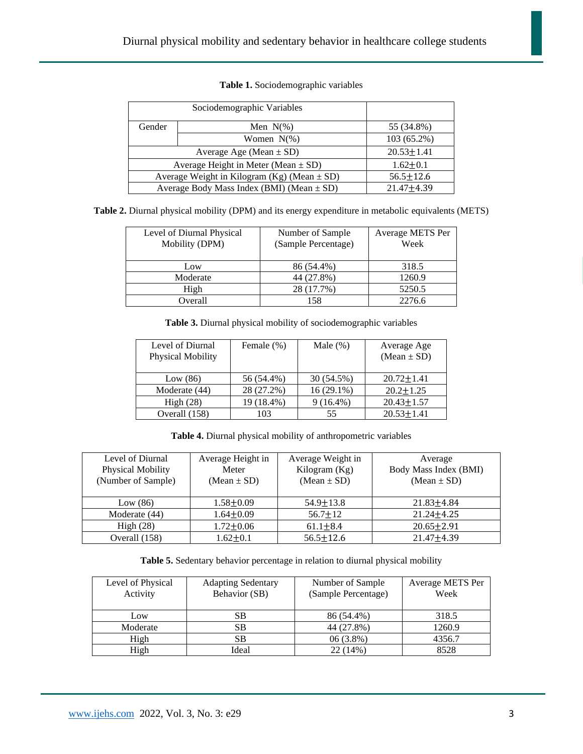| Gender                                          | Men $N(\%)$   | 55 (34.8%)       |
|-------------------------------------------------|---------------|------------------|
|                                                 | Women $N(\%)$ | 103 (65.2%)      |
| Average Age (Mean $\pm$ SD)                     |               | $20.53 \pm 1.41$ |
| Average Height in Meter (Mean $\pm$ SD)         |               | $1.62 \pm 0.1$   |
| Average Weight in Kilogram (Kg) (Mean $\pm$ SD) |               | $56.5 \pm 12.6$  |
| Average Body Mass Index (BMI) (Mean $\pm$ SD)   |               | $21.47 \pm 4.39$ |

### **Table 1.** Sociodemographic variables

**Table 2.** Diurnal physical mobility (DPM) and its energy expenditure in metabolic equivalents (METS)

| Level of Diurnal Physical<br>Mobility (DPM) | Number of Sample<br>(Sample Percentage) | Average METS Per<br>Week |
|---------------------------------------------|-----------------------------------------|--------------------------|
| Low                                         | 86 (54.4%)                              | 318.5                    |
| Moderate                                    | 44 (27.8%)                              | 1260.9                   |
| High                                        | 28 (17.7%)                              | 5250.5                   |
| Overall                                     | 158                                     | 2276.6                   |

**Table 3.** Diurnal physical mobility of sociodemographic variables

| Level of Diurnal         | Female $(\%)$ | Male $(\%)$  | Average Age      |
|--------------------------|---------------|--------------|------------------|
| <b>Physical Mobility</b> |               |              | $(Mean \pm SD)$  |
|                          |               |              |                  |
| Low $(86)$               | 56 (54.4%)    | 30 (54.5%)   | $20.72 \pm 1.41$ |
| Moderate (44)            | 28 (27.2%)    | $16(29.1\%)$ | $20.2 \pm 1.25$  |
| High $(28)$              | 19 (18.4%)    | $9(16.4\%)$  | $20.43 \pm 1.57$ |
| Overall (158)            | 103           | 55           | $20.53 \pm 1.41$ |
|                          |               |              |                  |

**Table 4.** Diurnal physical mobility of anthropometric variables

| Level of Diurnal<br>Physical Mobility<br>(Number of Sample) | Average Height in<br>Meter<br>$(Mean \pm SD)$ | Average Weight in<br>Kilogram (Kg)<br>$(Mean \pm SD)$ | Average<br>Body Mass Index (BMI)<br>$(Mean \pm SD)$ |
|-------------------------------------------------------------|-----------------------------------------------|-------------------------------------------------------|-----------------------------------------------------|
| Low $(86)$                                                  | $1.58 + 0.09$                                 | $54.9 + 13.8$                                         | $21.83 \pm 4.84$                                    |
| Moderate (44)                                               | $1.64 + 0.09$                                 | $56.7 \pm 12$                                         | $21.24 + 4.25$                                      |
| High $(28)$                                                 | $1.72 \pm 0.06$                               | $61.1 \pm 8.4$                                        | $20.65 \pm 2.91$                                    |
| Overall (158)                                               | $1.62 + 0.1$                                  | $56.5 \pm 12.6$                                       | $21.47 + 4.39$                                      |

**Table 5.** Sedentary behavior percentage in relation to diurnal physical mobility

| Level of Physical<br>Activity | <b>Adapting Sedentary</b><br>Behavior (SB) | Number of Sample<br>(Sample Percentage) | Average METS Per<br>Week |
|-------------------------------|--------------------------------------------|-----------------------------------------|--------------------------|
| Low                           | SВ                                         | 86 (54.4%)                              | 318.5                    |
| Moderate                      | SВ                                         | 44 (27.8%)                              | 1260.9                   |
| High                          | SВ                                         | $06(3.8\%)$                             | 4356.7                   |
| High                          | Ideal                                      | 22 (14%)                                | 8528                     |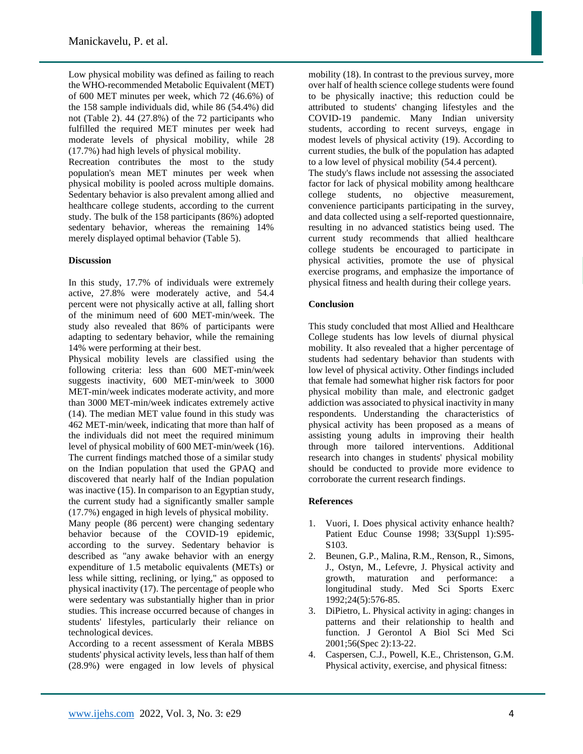Low physical mobility was defined as failing to reach the WHO-recommended Metabolic Equivalent (MET) of 600 MET minutes per week, which 72 (46.6%) of the 158 sample individuals did, while 86 (54.4%) did not (Table 2). 44 (27.8%) of the 72 participants who fulfilled the required MET minutes per week had moderate levels of physical mobility, while 28 (17.7%) had high levels of physical mobility.

Recreation contributes the most to the study population's mean MET minutes per week when physical mobility is pooled across multiple domains. Sedentary behavior is also prevalent among allied and healthcare college students, according to the current study. The bulk of the 158 participants (86%) adopted sedentary behavior, whereas the remaining 14% merely displayed optimal behavior (Table 5).

#### **Discussion**

In this study, 17.7% of individuals were extremely active, 27.8% were moderately active, and 54.4 percent were not physically active at all, falling short of the minimum need of 600 MET-min/week. The study also revealed that 86% of participants were adapting to sedentary behavior, while the remaining 14% were performing at their best.

Physical mobility levels are classified using the following criteria: less than 600 MET-min/week suggests inactivity, 600 MET-min/week to 3000 MET-min/week indicates moderate activity, and more than 3000 MET-min/week indicates extremely active (14). The median MET value found in this study was 462 MET-min/week, indicating that more than half of the individuals did not meet the required minimum level of physical mobility of 600 MET-min/week (16). The current findings matched those of a similar study on the Indian population that used the GPAQ and discovered that nearly half of the Indian population was inactive (15). In comparison to an Egyptian study, the current study had a significantly smaller sample (17.7%) engaged in high levels of physical mobility.

Many people (86 percent) were changing sedentary behavior because of the COVID-19 epidemic, according to the survey. Sedentary behavior is described as "any awake behavior with an energy expenditure of 1.5 metabolic equivalents (METs) or less while sitting, reclining, or lying," as opposed to physical inactivity (17). The percentage of people who were sedentary was substantially higher than in prior studies. This increase occurred because of changes in students' lifestyles, particularly their reliance on technological devices.

According to a recent assessment of Kerala MBBS students' physical activity levels, less than half of them (28.9%) were engaged in low levels of physical

mobility (18). In contrast to the previous survey, more over half of health science college students were found to be physically inactive; this reduction could be attributed to students' changing lifestyles and the COVID-19 pandemic. Many Indian university students, according to recent surveys, engage in modest levels of physical activity (19). According to current studies, the bulk of the population has adapted to a low level of physical mobility (54.4 percent). The study's flaws include not assessing the associated factor for lack of physical mobility among healthcare college students, no objective measurement, convenience participants participating in the survey,

and data collected using a self-reported questionnaire, resulting in no advanced statistics being used. The current study recommends that allied healthcare college students be encouraged to participate in physical activities, promote the use of physical exercise programs, and emphasize the importance of physical fitness and health during their college years.

## **Conclusion**

This study concluded that most Allied and Healthcare College students has low levels of diurnal physical mobility. It also revealed that a higher percentage of students had sedentary behavior than students with low level of physical activity. Other findings included that female had somewhat higher risk factors for poor physical mobility than male, and electronic gadget addiction was associated to physical inactivity in many respondents. Understanding the characteristics of physical activity has been proposed as a means of assisting young adults in improving their health through more tailored interventions. Additional research into changes in students' physical mobility should be conducted to provide more evidence to corroborate the current research findings.

## **References**

- 1. Vuori, I. Does physical activity enhance health? Patient Educ Counse 1998; 33(Suppl 1):S95-S<sub>103</sub>.
- 2. Beunen, G.P., Malina, R.M., Renson, R., Simons, J., Ostyn, M., Lefevre, J. Physical activity and growth, maturation and performance: a longitudinal study. Med Sci Sports Exerc 1992;24(5):576-85.
- 3. DiPietro, L. Physical activity in aging: changes in patterns and their relationship to health and function. J Gerontol A Biol Sci Med Sci 2001;56(Spec 2):13-22.
- 4. Caspersen, C.J., Powell, K.E., Christenson, G.M. Physical activity, exercise, and physical fitness: